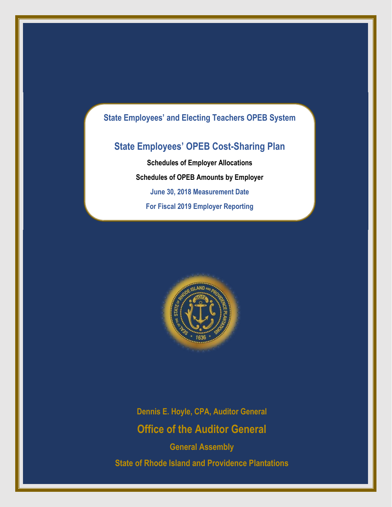# **State Employees' and Electing Teachers OPEB System**

# **State Employees' OPEB Cost-Sharing Plan**

**Schedules of Employer Allocations Schedules of OPEB Amounts by Employer June 30, 2018 Measurement Date For Fiscal 2019 Employer Reporting**



**Dennis E. Hoyle, CPA, Auditor General Office of the Auditor General**

**General Assembly State of Rhode Island and Providence Plantations**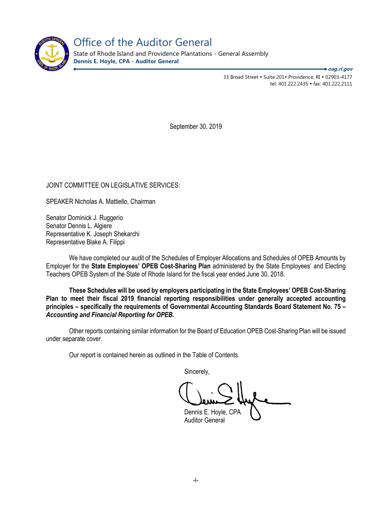

Office of the Auditor General

State of Rhode Island and Providence Plantations - General Assembly **Dennis E. Hoyle, CPA - Auditor General**

**oag.ri.gov**

33 Broad Street • Suite 201• Providence, RI • 02903-4177 tel: 401.222.2435 fax: 401.222.2111

September 30, 2019

JOINT COMMITTEE ON LEGISLATIVE SERVICES:

SPEAKER Nicholas A. Mattiello, Chairman

Senator Dominick J. Ruggerio Senator Dennis L. Algiere Representative K. Joseph Shekarchi Representative Blake A. Filippi

We have completed our audit of the Schedules of Employer Allocations and Schedules of OPEB Amounts by Employer for the **State Employees' OPEB Cost-Sharing Plan** administered by the State Employees' and Electing Teachers OPEB System of the State of Rhode Island for the fiscal year ended June 30, 2018.

**These Schedules will be used by employers participating in the State Employees' OPEB Cost-Sharing Plan to meet their fiscal 2019 financial reporting responsibilities under generally accepted accounting principles – specifically the requirements of Governmental Accounting Standards Board Statement No. 75 –** *Accounting and Financial Reporting for OPEB.* 

Other reports containing similar information for the Board of Education OPEB Cost-Sharing Plan will be issued under separate cover.

Our report is contained herein as outlined in the Table of Contents.

Sincerely,

Dennis E. Hoyle, CPA Auditor General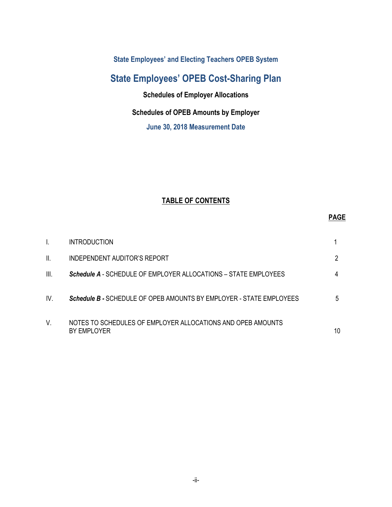**State Employees' and Electing Teachers OPEB System** 

# **State Employees' OPEB Cost-Sharing Plan**

**Schedules of Employer Allocations**

## **Schedules of OPEB Amounts by Employer**

**June 30, 2018 Measurement Date** 

# **TABLE OF CONTENTS**

## **PAGE**

|      | <b>INTRODUCTION</b>                                                        |    |
|------|----------------------------------------------------------------------------|----|
| II.  | INDEPENDENT AUDITOR'S REPORT                                               |    |
| III. | Schedule A - SCHEDULE OF EMPLOYER ALLOCATIONS - STATE EMPLOYEES            |    |
| IV.  | Schedule B - SCHEDULE OF OPEB AMOUNTS BY EMPLOYER - STATE EMPLOYEES        | 5  |
| V.   | NOTES TO SCHEDULES OF EMPLOYER ALLOCATIONS AND OPEB AMOUNTS<br>BY EMPLOYER | 10 |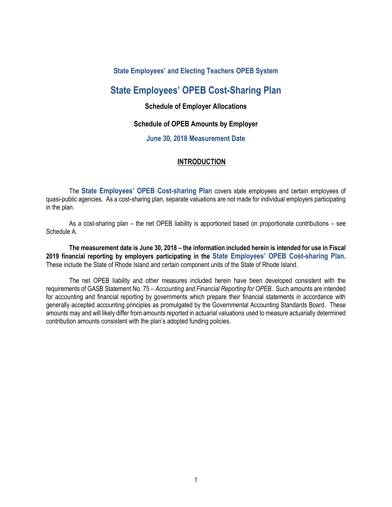### **State Employees' and Electing Teachers OPEB System**

# **State Employees' OPEB Cost-Sharing Plan**

### **Schedule of Employer Allocations**

### **Schedule of OPEB Amounts by Employer**

#### **June 30, 2018 Measurement Date**

#### **INTRODUCTION**

The **State Employees' OPEB Cost-sharing Plan** covers state employees and certain employees of quasi-public agencies. As a cost-sharing plan, separate valuations are not made for individual employers participating in the plan.

As a cost-sharing plan – the net OPEB liability is apportioned based on proportionate contributions – see Schedule A.

**The measurement date is June 30, 2018 – the information included herein is intended for use in Fiscal 2019 financial reporting by employers participating in the State Employees' OPEB Cost-sharing Plan.** These include the State of Rhode Island and certain component units of the State of Rhode Island.

The net OPEB liability and other measures included herein have been developed consistent with the requirements of GASB Statement No. 75 – *Accounting and Financial Reporting for OPEB*. Such amounts are intended for accounting and financial reporting by governments which prepare their financial statements in accordance with generally accepted accounting principles as promulgated by the Governmental Accounting Standards Board. These amounts may and will likely differ from amounts reported in actuarial valuations used to measure actuarially determined contribution amounts consistent with the plan's adopted funding policies.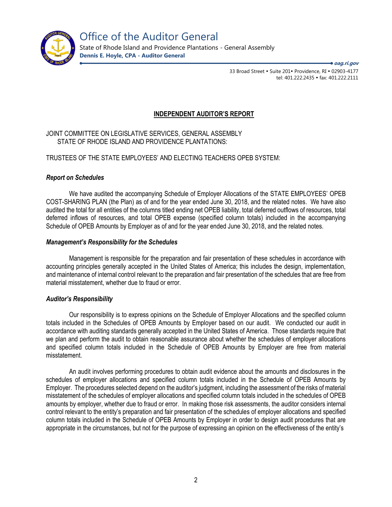

State of Rhode Island and Providence Plantations - General Assembly **Dennis E. Hoyle, CPA - Auditor General**

**oag.ri.gov**

33 Broad Street • Suite 201• Providence, RI • 02903-4177 tel: 401.222.2435 · fax: 401.222.2111

### **INDEPENDENT AUDITOR'S REPORT**

JOINT COMMITTEE ON LEGISLATIVE SERVICES, GENERAL ASSEMBLY STATE OF RHODE ISLAND AND PROVIDENCE PLANTATIONS:

### TRUSTEES OF THE STATE EMPLOYEES' AND ELECTING TEACHERS OPEB SYSTEM:

#### *Report on Schedules*

We have audited the accompanying Schedule of Employer Allocations of the STATE EMPLOYEES' OPEB COST-SHARING PLAN (the Plan) as of and for the year ended June 30, 2018, and the related notes. We have also audited the total for all entities of the columns titled ending net OPEB liability, total deferred outflows of resources, total deferred inflows of resources, and total OPEB expense (specified column totals) included in the accompanying Schedule of OPEB Amounts by Employer as of and for the year ended June 30, 2018, and the related notes.

#### *Management's Responsibility for the Schedules*

Management is responsible for the preparation and fair presentation of these schedules in accordance with accounting principles generally accepted in the United States of America; this includes the design, implementation, and maintenance of internal control relevant to the preparation and fair presentation of the schedules that are free from material misstatement, whether due to fraud or error.

#### *Auditor's Responsibility*

Our responsibility is to express opinions on the Schedule of Employer Allocations and the specified column totals included in the Schedules of OPEB Amounts by Employer based on our audit. We conducted our audit in accordance with auditing standards generally accepted in the United States of America. Those standards require that we plan and perform the audit to obtain reasonable assurance about whether the schedules of employer allocations and specified column totals included in the Schedule of OPEB Amounts by Employer are free from material misstatement.

An audit involves performing procedures to obtain audit evidence about the amounts and disclosures in the schedules of employer allocations and specified column totals included in the Schedule of OPEB Amounts by Employer. The procedures selected depend on the auditor's judgment, including the assessment of the risks of material misstatement of the schedules of employer allocations and specified column totals included in the schedules of OPEB amounts by employer, whether due to fraud or error. In making those risk assessments, the auditor considers internal control relevant to the entity's preparation and fair presentation of the schedules of employer allocations and specified column totals included in the Schedule of OPEB Amounts by Employer in order to design audit procedures that are appropriate in the circumstances, but not for the purpose of expressing an opinion on the effectiveness of the entity's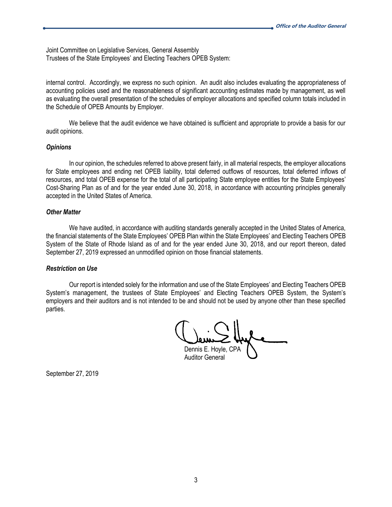Joint Committee on Legislative Services, General Assembly Trustees of the State Employees' and Electing Teachers OPEB System:

internal control. Accordingly, we express no such opinion. An audit also includes evaluating the appropriateness of accounting policies used and the reasonableness of significant accounting estimates made by management, as well as evaluating the overall presentation of the schedules of employer allocations and specified column totals included in the Schedule of OPEB Amounts by Employer.

We believe that the audit evidence we have obtained is sufficient and appropriate to provide a basis for our audit opinions.

#### *Opinions*

In our opinion, the schedules referred to above present fairly, in all material respects, the employer allocations for State employees and ending net OPEB liability, total deferred outflows of resources, total deferred inflows of resources, and total OPEB expense for the total of all participating State employee entities for the State Employees' Cost-Sharing Plan as of and for the year ended June 30, 2018, in accordance with accounting principles generally accepted in the United States of America.

#### *Other Matter*

We have audited, in accordance with auditing standards generally accepted in the United States of America, the financial statements of the State Employees' OPEB Plan within the State Employees' and Electing Teachers OPEB System of the State of Rhode Island as of and for the year ended June 30, 2018, and our report thereon, dated September 27, 2019 expressed an unmodified opinion on those financial statements.

#### *Restriction on Use*

Our report is intended solely for the information and use of the State Employees' and Electing Teachers OPEB System's management, the trustees of State Employees' and Electing Teachers OPEB System, the System's employers and their auditors and is not intended to be and should not be used by anyone other than these specified parties.

Dennis E. Hoyle, CPA Auditor General

September 27, 2019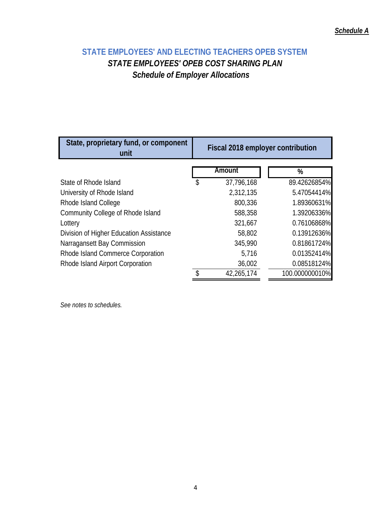# **STATE EMPLOYEES' AND ELECTING TEACHERS OPEB SYSTEM**  *STATE EMPLOYEES' OPEB COST SHARING PLAN Schedule of Employer Allocations*

| State, proprietary fund, or component<br>unit | Fiscal 2018 employer contribution |                |  |  |  |  |  |
|-----------------------------------------------|-----------------------------------|----------------|--|--|--|--|--|
|                                               | Amount                            | %              |  |  |  |  |  |
| State of Rhode Island                         | \$<br>37,796,168                  | 89.42626854%   |  |  |  |  |  |
| University of Rhode Island                    | 2,312,135                         | 5.47054414%    |  |  |  |  |  |
| Rhode Island College                          | 800,336                           | 1.89360631%    |  |  |  |  |  |
| Community College of Rhode Island             | 588,358                           | 1.39206336%    |  |  |  |  |  |
| Lottery                                       | 321,667                           | 0.76106868%    |  |  |  |  |  |
| Division of Higher Education Assistance       | 58,802                            | 0.13912636%    |  |  |  |  |  |
| Narragansett Bay Commission                   | 345,990                           | 0.81861724%    |  |  |  |  |  |
| Rhode Island Commerce Corporation             | 5,716                             | 0.01352414%    |  |  |  |  |  |
| Rhode Island Airport Corporation              | 36,002                            | 0.08518124%    |  |  |  |  |  |
|                                               | 42,265,174                        | 100.000000010% |  |  |  |  |  |

*See notes to schedules.*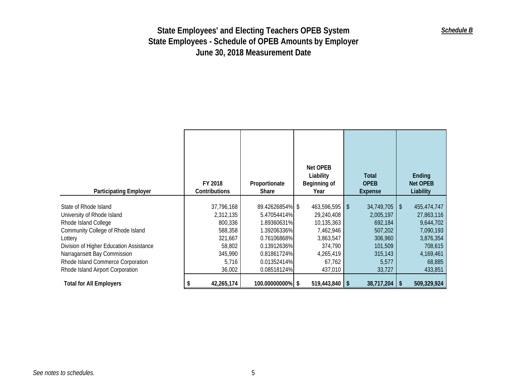| <b>Participating Employer</b>                                                                                                                                                                                                                                                  | FY 2018<br>Contributions                                                                         | Proportionate<br>Share                                                                                                                  | Net OPEB<br>Liability<br>Beginning of<br>Year                                                                     | Total<br><b>OPEB</b><br>Expense                                                                            | Ending<br><b>Net OPEB</b><br>Liability                                                                        |
|--------------------------------------------------------------------------------------------------------------------------------------------------------------------------------------------------------------------------------------------------------------------------------|--------------------------------------------------------------------------------------------------|-----------------------------------------------------------------------------------------------------------------------------------------|-------------------------------------------------------------------------------------------------------------------|------------------------------------------------------------------------------------------------------------|---------------------------------------------------------------------------------------------------------------|
| State of Rhode Island<br>University of Rhode Island<br>Rhode Island College<br>Community College of Rhode Island<br>Lottery<br>Division of Higher Education Assistance<br>Narragansett Bay Commission<br>Rhode Island Commerce Corporation<br>Rhode Island Airport Corporation | 37,796,168<br>2,312,135<br>800,336<br>588,358<br>321,667<br>58,802<br>345,990<br>5,716<br>36,002 | 89.42626854% \$<br>5.47054414%<br>1.89360631%<br>1.39206336%<br>0.76106868%<br>0.13912636%<br>0.81861724%<br>0.01352414%<br>0.08518124% | 463,596,595 \$<br>29,240,408<br>10,135,363<br>7,462,946<br>3,863,547<br>374,790<br>4,265,419<br>67,762<br>437,010 | $34,749,705$ \ \ \$<br>2,005,197<br>692,184<br>507,202<br>306,960<br>101,509<br>315,143<br>5,577<br>33,727 | 455,474,747<br>27,863,116<br>9,644,702<br>7,090,193<br>3,876,354<br>708,615<br>4,169,461<br>68,885<br>433,851 |
| <b>Total for All Employers</b>                                                                                                                                                                                                                                                 | 42,265,174                                                                                       | 100.00000000% \$                                                                                                                        | $519,443,840$ \$                                                                                                  | $38,717,204$ \$                                                                                            | 509,329,924                                                                                                   |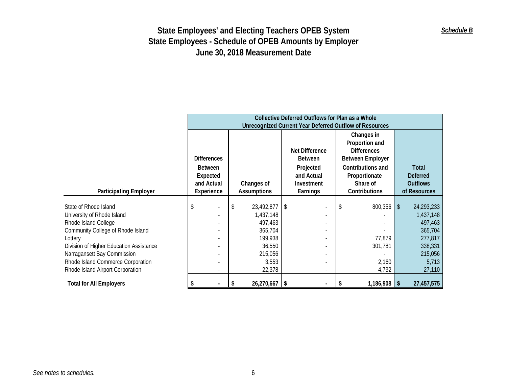|                                         | Collective Deferred Outflows for Plan as a Whole<br><b>Unrecognized Current Year Deferred Outflow of Resources</b> |  |    |                                  |  |                                  |                           |                                                                               |  |                                 |
|-----------------------------------------|--------------------------------------------------------------------------------------------------------------------|--|----|----------------------------------|--|----------------------------------|---------------------------|-------------------------------------------------------------------------------|--|---------------------------------|
|                                         | <b>Differences</b><br><b>Between</b><br>Expected                                                                   |  |    |                                  |  | Net Difference<br><b>Between</b> |                           | Changes in<br>Proportion and<br><b>Differences</b><br><b>Between Employer</b> |  |                                 |
|                                         |                                                                                                                    |  |    |                                  |  | Projected<br>and Actual          |                           | Contributions and<br>Proportionate                                            |  | Total<br><b>Deferred</b>        |
| <b>Participating Employer</b>           | and Actual<br>Experience                                                                                           |  |    | Changes of<br><b>Assumptions</b> |  | Investment<br>Earnings           | Share of<br>Contributions |                                                                               |  | <b>Outflows</b><br>of Resources |
|                                         |                                                                                                                    |  |    |                                  |  |                                  |                           |                                                                               |  |                                 |
| State of Rhode Island                   |                                                                                                                    |  | \$ | 23,492,877 \$                    |  |                                  |                           | $800,356$ \$                                                                  |  | 24,293,233                      |
| University of Rhode Island              |                                                                                                                    |  |    | 1,437,148                        |  |                                  |                           |                                                                               |  | 1,437,148                       |
| Rhode Island College                    |                                                                                                                    |  |    | 497,463                          |  |                                  |                           |                                                                               |  | 497,463                         |
| Community College of Rhode Island       |                                                                                                                    |  |    | 365,704                          |  |                                  |                           |                                                                               |  | 365,704                         |
| Lottery                                 |                                                                                                                    |  |    | 199,938                          |  |                                  |                           | 77,879                                                                        |  | 277,817                         |
| Division of Higher Education Assistance |                                                                                                                    |  |    | 36,550                           |  |                                  |                           | 301,781                                                                       |  | 338,331                         |
| Narragansett Bay Commission             |                                                                                                                    |  |    | 215,056                          |  |                                  |                           |                                                                               |  | 215,056                         |
| Rhode Island Commerce Corporation       |                                                                                                                    |  |    | 3,553                            |  |                                  |                           | 2,160                                                                         |  | 5,713                           |
| Rhode Island Airport Corporation        |                                                                                                                    |  |    | 22,378                           |  |                                  |                           | 4,732                                                                         |  | 27,110                          |
| <b>Total for All Employers</b>          |                                                                                                                    |  |    | 26,270,667   \$                  |  |                                  |                           | $1,186,908$ \ \$                                                              |  | 27,457,575                      |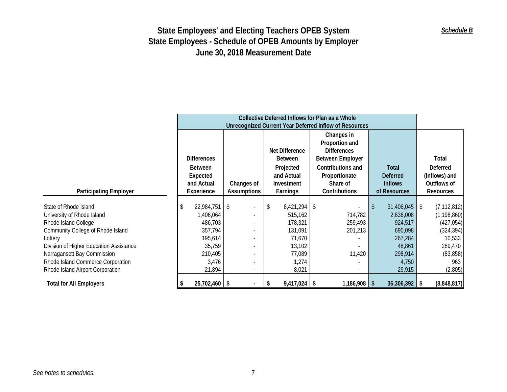|                                                                       | Collective Deferred Inflows for Plan as a Whole |                                                        |                        |                                                                               |                                                   |                                                 |  |  |  |
|-----------------------------------------------------------------------|-------------------------------------------------|--------------------------------------------------------|------------------------|-------------------------------------------------------------------------------|---------------------------------------------------|-------------------------------------------------|--|--|--|
|                                                                       |                                                 | Unrecognized Current Year Deferred Inflow of Resources |                        |                                                                               |                                                   |                                                 |  |  |  |
|                                                                       | <b>Differences</b>                              | <b>Net Difference</b><br><b>Between</b>                |                        | Changes in<br>Proportion and<br><b>Differences</b><br><b>Between Employer</b> |                                                   | Total                                           |  |  |  |
|                                                                       | Between<br>Expected<br>and Actual               | Projected<br>and Actual                                |                        | Contributions and<br>Proportionate<br>Share of                                | <b>Total</b><br><b>Deferred</b><br><b>Inflows</b> | <b>Deferred</b><br>(Inflows) and<br>Outflows of |  |  |  |
| <b>Participating Employer</b>                                         | Experience                                      | Changes of<br><b>Assumptions</b>                       | Investment<br>Earnings | Contributions                                                                 | of Resources                                      | <b>Resources</b>                                |  |  |  |
| State of Rhode Island                                                 | 22,984,751                                      | $\overline{1}$                                         | $8,421,294$ \$         |                                                                               | $31,406,045$ \$                                   | (7, 112, 812)                                   |  |  |  |
| University of Rhode Island<br>Rhode Island College                    | ,406,064<br>486,703                             |                                                        | 515,162<br>178,321     | 714,782<br>259,493                                                            | 2,636,008<br>924,517                              | (1, 198, 860)<br>(427, 054)                     |  |  |  |
| Community College of Rhode Island                                     | 357,794                                         |                                                        | 131,091                | 201,213                                                                       | 690,098                                           | (324, 394)                                      |  |  |  |
| Lottery<br>Division of Higher Education Assistance                    | 195,614<br>35,759                               |                                                        | 71,670<br>13,102       |                                                                               | 267,284<br>48,861                                 | 10,533<br>289,470                               |  |  |  |
| Narragansett Bay Commission                                           | 210,405                                         |                                                        | 77,089                 | 11,420                                                                        | 298,914                                           | (83, 858)                                       |  |  |  |
| Rhode Island Commerce Corporation<br>Rhode Island Airport Corporation | 3,476<br>21,894                                 |                                                        | 1,274<br>8,021         | $\overline{\phantom{a}}$                                                      | 4,750<br>29,915                                   | 963<br>(2,805)                                  |  |  |  |
| <b>Total for All Employers</b>                                        | $25,702,460$ \$                                 |                                                        | $9,417,024$ \$<br>S    | $1,186,908$ \$                                                                | $36,306,392$ \$                                   | (8,848,817)                                     |  |  |  |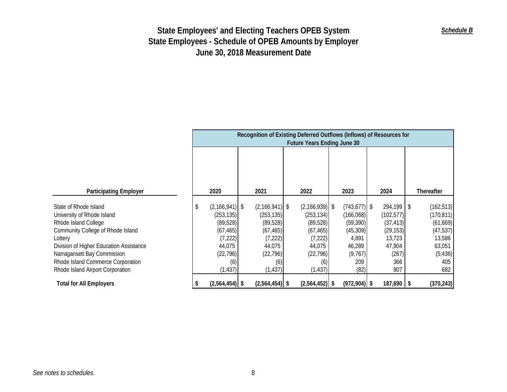|                                         | Recognition of Existing Deferred Outflows (Inflows) of Resources for<br><b>Future Years Ending June 30</b> |                  |  |                  |  |                    |  |                 |  |            |     |            |
|-----------------------------------------|------------------------------------------------------------------------------------------------------------|------------------|--|------------------|--|--------------------|--|-----------------|--|------------|-----|------------|
|                                         |                                                                                                            |                  |  |                  |  |                    |  |                 |  |            |     |            |
|                                         |                                                                                                            |                  |  |                  |  |                    |  |                 |  |            |     |            |
| <b>Participating Employer</b>           |                                                                                                            | 2020             |  | 2021             |  | 2022               |  | 2023            |  | 2024       |     | Thereafter |
|                                         |                                                                                                            |                  |  |                  |  |                    |  |                 |  |            |     |            |
| State of Rhode Island                   | \$                                                                                                         | $(2,166,941)$ \$ |  | $(2,166,941)$ \$ |  | $(2, 166, 939)$ \$ |  | $(743, 677)$ \$ |  | 294,199 \$ |     | (162, 513) |
| University of Rhode Island              |                                                                                                            | (253, 135)       |  | (253, 135)       |  | (253, 134)         |  | (166, 068)      |  | (102, 577) |     | (170, 811) |
| Rhode Island College                    |                                                                                                            | (89, 528)        |  | (89, 528)        |  | (89, 528)          |  | (59, 390)       |  | (37, 413)  |     | (61, 669)  |
| Community College of Rhode Island       |                                                                                                            | (67, 465)        |  | (67, 465)        |  | (67, 465)          |  | (45, 309)       |  | (29, 153)  |     | (47, 537)  |
| Lottery                                 |                                                                                                            | (7, 222)         |  | (7, 222)         |  | (7, 222)           |  | 4,891           |  | 13,723     |     | 13,586     |
| Division of Higher Education Assistance |                                                                                                            | 44,075           |  | 44,075           |  | 44,075             |  | 46,289          |  | 47,904     |     | 63,051     |
| Narragansett Bay Commission             |                                                                                                            | (22, 796)        |  | (22, 796)        |  | (22, 796)          |  | (9, 767)        |  | (267)      |     | (5, 436)   |
| Rhode Island Commerce Corporation       |                                                                                                            | (6)              |  | (6)              |  | (6)                |  | 209             |  | 366        |     | 405        |
| Rhode Island Airport Corporation        |                                                                                                            | (1, 437)         |  | (1, 437)         |  | (1, 437)           |  | (82)            |  | 907        |     | 682        |
| <b>Total for All Employers</b>          |                                                                                                            | $(2,564,454)$ \$ |  | $(2,564,454)$ \$ |  | $(2,564,452)$ \$   |  | $(972, 904)$ \$ |  | 187,690    | l S | (370, 243) |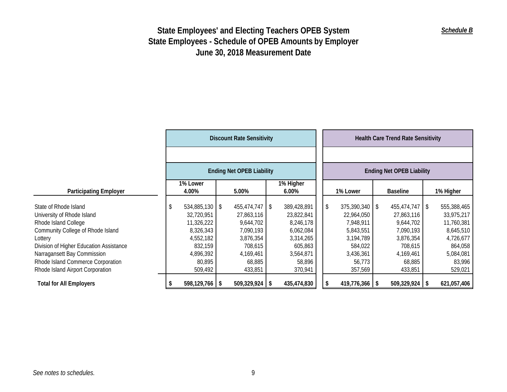|                                                                                                                                                                                                                                            | <b>Discount Rate Sensitivity</b> |                                                                                                          |  |                                                                                                             |           |                                                                                                    |  |          |                                                                                                         |                 | <b>Health Care Trend Rate Sensitivity</b>                                                          |            |                                                                                                     |
|--------------------------------------------------------------------------------------------------------------------------------------------------------------------------------------------------------------------------------------------|----------------------------------|----------------------------------------------------------------------------------------------------------|--|-------------------------------------------------------------------------------------------------------------|-----------|----------------------------------------------------------------------------------------------------|--|----------|---------------------------------------------------------------------------------------------------------|-----------------|----------------------------------------------------------------------------------------------------|------------|-----------------------------------------------------------------------------------------------------|
|                                                                                                                                                                                                                                            |                                  |                                                                                                          |  |                                                                                                             |           |                                                                                                    |  |          |                                                                                                         |                 |                                                                                                    |            |                                                                                                     |
|                                                                                                                                                                                                                                            | <b>Ending Net OPEB Liability</b> |                                                                                                          |  |                                                                                                             |           |                                                                                                    |  |          |                                                                                                         |                 | <b>Ending Net OPEB Liability</b>                                                                   |            |                                                                                                     |
| <b>Participating Employer</b>                                                                                                                                                                                                              |                                  | 1% Lower<br>4.00%                                                                                        |  | 5.00%                                                                                                       | 1% Higher |                                                                                                    |  | 1% Lower |                                                                                                         | <b>Baseline</b> |                                                                                                    | 1% Higher  |                                                                                                     |
| State of Rhode Island<br>University of Rhode Island<br>Rhode Island College<br>Community College of Rhode Island<br>Lottery<br>Division of Higher Education Assistance<br>Narragansett Bay Commission<br>Rhode Island Commerce Corporation | \$                               | $534,885,130$ \$<br>32,720,951<br>11,326,222<br>8,326,343<br>4,552,182<br>832,159<br>4,896,392<br>80,895 |  | $455,474,747$ \ \ \$<br>27,863,116<br>9,644,702<br>7,090,193<br>3,876,354<br>708,615<br>4,169,461<br>68,885 |           | 389,428,891<br>23,822,841<br>8,246,178<br>6,062,084<br>3,314,265<br>605,863<br>3,564,871<br>58,896 |  | \$       | $375,390,340$ \$<br>22,964,050<br>7,948,911<br>5,843,551<br>3,194,789<br>584,022<br>3,436,361<br>56,773 |                 | 455,474,747<br>27,863,116<br>9,644,702<br>7,090,193<br>3,876,354<br>708,615<br>4,169,461<br>68,885 | $\sqrt{3}$ | 555,388,465<br>33,975,217<br>11,760,381<br>8,645,510<br>4,726,677<br>864,058<br>5,084,081<br>83,996 |
| Rhode Island Airport Corporation<br><b>Total for All Employers</b>                                                                                                                                                                         |                                  | 509,492<br>$598,129,766$ \$                                                                              |  | 433,851<br>$509,329,924$ \$                                                                                 |           | 370,941<br>435,474,830                                                                             |  |          | 357,569<br>$419,776,366$ \$                                                                             |                 | 433,851<br>$509,329,924$ \$                                                                        |            | 529,021<br>621,057,406                                                                              |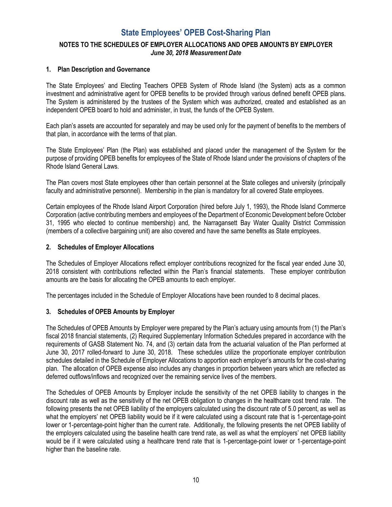## **State Employees' OPEB Cost-Sharing Plan**

## **NOTES TO THE SCHEDULES OF EMPLOYER ALLOCATIONS AND OPEB AMOUNTS BY EMPLOYER**  *June 30, 2018 Measurement Date*

#### **1. Plan Description and Governance**

The State Employees' and Electing Teachers OPEB System of Rhode Island (the System) acts as a common investment and administrative agent for OPEB benefits to be provided through various defined benefit OPEB plans. The System is administered by the trustees of the System which was authorized, created and established as an independent OPEB board to hold and administer, in trust, the funds of the OPEB System.

Each plan's assets are accounted for separately and may be used only for the payment of benefits to the members of that plan, in accordance with the terms of that plan.

The State Employees' Plan (the Plan) was established and placed under the management of the System for the purpose of providing OPEB benefits for employees of the State of Rhode Island under the provisions of chapters of the Rhode Island General Laws.

The Plan covers most State employees other than certain personnel at the State colleges and university (principally faculty and administrative personnel). Membership in the plan is mandatory for all covered State employees.

Certain employees of the Rhode Island Airport Corporation (hired before July 1, 1993), the Rhode Island Commerce Corporation (active contributing members and employees of the Department of Economic Development before October 31, 1995 who elected to continue membership) and, the Narragansett Bay Water Quality District Commission (members of a collective bargaining unit) are also covered and have the same benefits as State employees.

#### **2. Schedules of Employer Allocations**

The Schedules of Employer Allocations reflect employer contributions recognized for the fiscal year ended June 30, 2018 consistent with contributions reflected within the Plan's financial statements. These employer contribution amounts are the basis for allocating the OPEB amounts to each employer.

The percentages included in the Schedule of Employer Allocations have been rounded to 8 decimal places.

#### **3. Schedules of OPEB Amounts by Employer**

The Schedules of OPEB Amounts by Employer were prepared by the Plan's actuary using amounts from (1) the Plan's fiscal 2018 financial statements, (2) Required Supplementary Information Schedules prepared in accordance with the requirements of GASB Statement No. 74, and (3) certain data from the actuarial valuation of the Plan performed at June 30, 2017 rolled-forward to June 30, 2018. These schedules utilize the proportionate employer contribution schedules detailed in the Schedule of Employer Allocations to apportion each employer's amounts for the cost-sharing plan. The allocation of OPEB expense also includes any changes in proportion between years which are reflected as deferred outflows/inflows and recognized over the remaining service lives of the members.

The Schedules of OPEB Amounts by Employer include the sensitivity of the net OPEB liability to changes in the discount rate as well as the sensitivity of the net OPEB obligation to changes in the healthcare cost trend rate. The following presents the net OPEB liability of the employers calculated using the discount rate of 5.0 percent, as well as what the employers' net OPEB liability would be if it were calculated using a discount rate that is 1-percentage-point lower or 1-percentage-point higher than the current rate. Additionally, the following presents the net OPEB liability of the employers calculated using the baseline health care trend rate, as well as what the employers' net OPEB liability would be if it were calculated using a healthcare trend rate that is 1-percentage-point lower or 1-percentage-point higher than the baseline rate.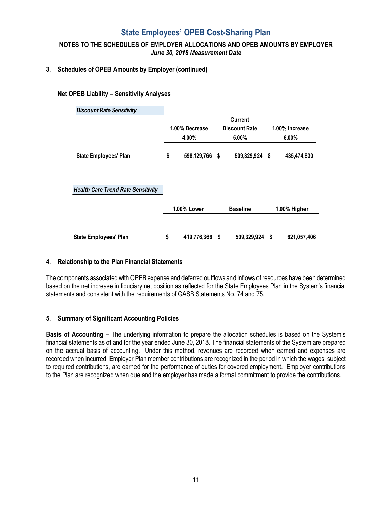## **State Employees' OPEB Cost-Sharing Plan**

### **NOTES TO THE SCHEDULES OF EMPLOYER ALLOCATIONS AND OPEB AMOUNTS BY EMPLOYER**  *June 30, 2018 Measurement Date*

#### **3. Schedules of OPEB Amounts by Employer (continued)**

#### **Net OPEB Liability – Sensitivity Analyses**

| 1.00% Decrease | Current<br><b>Discount Rate</b> |                                                                      |
|----------------|---------------------------------|----------------------------------------------------------------------|
|                |                                 |                                                                      |
|                |                                 | 1.00% Increase                                                       |
| 4.00%          | 5.00%                           | $6.00\%$                                                             |
| \$             |                                 | 435,474,830<br>- \$                                                  |
|                |                                 |                                                                      |
| 1.00% Lower    | <b>Baseline</b>                 | 1.00% Higher                                                         |
|                |                                 | 621,057,406                                                          |
|                | \$                              | 598,129,766 \$<br>509,329,924<br>419,776,366<br>509,329,924 \$<br>-S |

#### **4. Relationship to the Plan Financial Statements**

The components associated with OPEB expense and deferred outflows and inflows of resources have been determined based on the net increase in fiduciary net position as reflected for the State Employees Plan in the System's financial statements and consistent with the requirements of GASB Statements No. 74 and 75.

### **5. Summary of Significant Accounting Policies**

**Basis of Accounting –** The underlying information to prepare the allocation schedules is based on the System's financial statements as of and for the year ended June 30, 2018. The financial statements of the System are prepared on the accrual basis of accounting. Under this method, revenues are recorded when earned and expenses are recorded when incurred. Employer Plan member contributions are recognized in the period in which the wages, subject to required contributions, are earned for the performance of duties for covered employment. Employer contributions to the Plan are recognized when due and the employer has made a formal commitment to provide the contributions.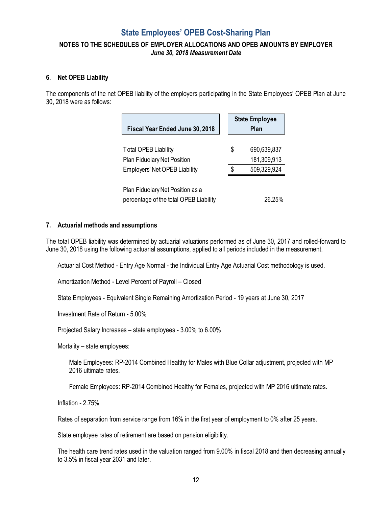## **State Employees' OPEB Cost-Sharing Plan**

### **NOTES TO THE SCHEDULES OF EMPLOYER ALLOCATIONS AND OPEB AMOUNTS BY EMPLOYER**  *June 30, 2018 Measurement Date*

#### **6. Net OPEB Liability**

The components of the net OPEB liability of the employers participating in the State Employees' OPEB Plan at June 30, 2018 were as follows:

| Fiscal Year Ended June 30, 2018                                                                    |   | <b>State Employee</b><br>Plan             |
|----------------------------------------------------------------------------------------------------|---|-------------------------------------------|
| <b>Total OPEB Liability</b><br>Plan Fiduciary Net Position<br><b>Employers' Net OPEB Liability</b> | S | 690,639,837<br>181,309,913<br>509,329,924 |
| Plan Fiduciary Net Position as a<br>percentage of the total OPEB Liability                         |   | 26.25%                                    |

#### **7. Actuarial methods and assumptions**

The total OPEB liability was determined by actuarial valuations performed as of June 30, 2017 and rolled-forward to June 30, 2018 using the following actuarial assumptions, applied to all periods included in the measurement.

Actuarial Cost Method - Entry Age Normal - the Individual Entry Age Actuarial Cost methodology is used.

Amortization Method - Level Percent of Payroll – Closed

State Employees - Equivalent Single Remaining Amortization Period - 19 years at June 30, 2017

Investment Rate of Return - 5.00%

Projected Salary Increases – state employees - 3.00% to 6.00%

Mortality – state employees:

Male Employees: RP-2014 Combined Healthy for Males with Blue Collar adjustment, projected with MP 2016 ultimate rates.

Female Employees: RP-2014 Combined Healthy for Females, projected with MP 2016 ultimate rates.

Inflation - 2.75%

Rates of separation from service range from 16% in the first year of employment to 0% after 25 years.

State employee rates of retirement are based on pension eligibility.

The health care trend rates used in the valuation ranged from 9.00% in fiscal 2018 and then decreasing annually to 3.5% in fiscal year 2031 and later.